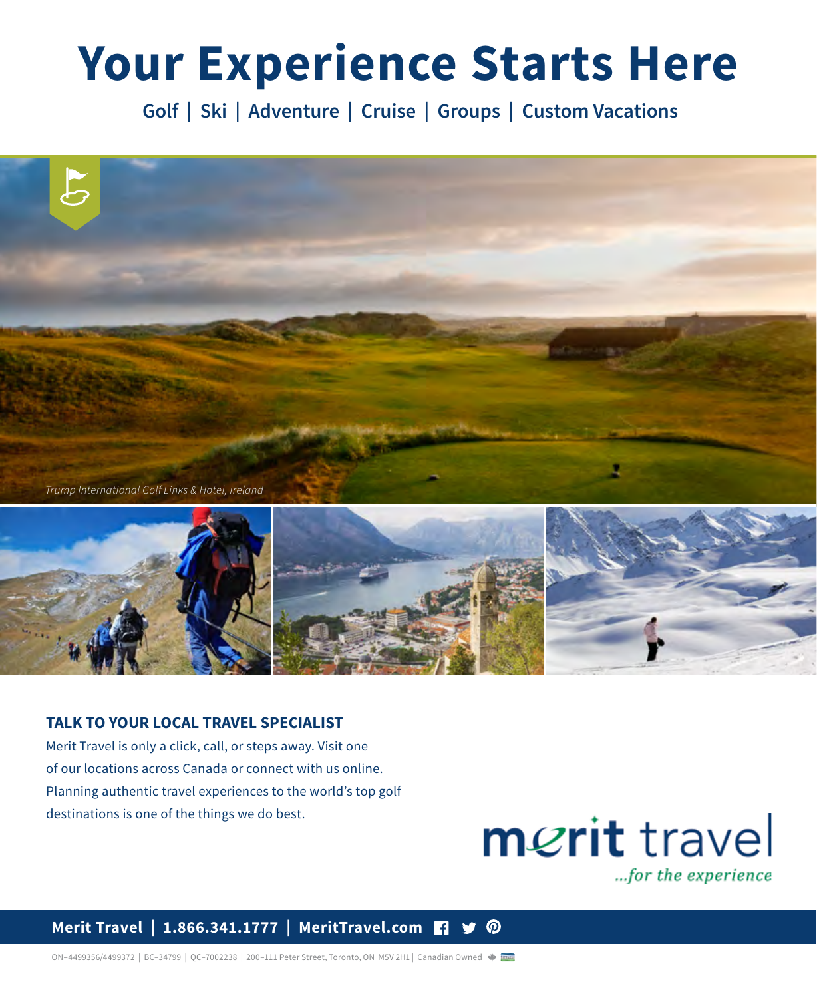## **Your Experience Starts Here**

**Golf | Ski | Adventure | Cruise | Groups | Custom Vacations**





## **TALK TO YOUR LOCAL TRAVEL SPECIALIST**

Merit Travel is only a click, call, or steps away. Visit one of our locations across Canada or connect with us online. Planning authentic travel experiences to the world's top golf destinations is one of the things we do best.



## **Merit Travel | 1.866.341.1777 | MeritTravel.com**   $\boldsymbol{\Omega}$

ON–4499356/4499372 | BC–34799 | QC–7002238 | 200–111 Peter Street, Toronto, ON M5V 2H1 | Canadian Owned ↓ THE